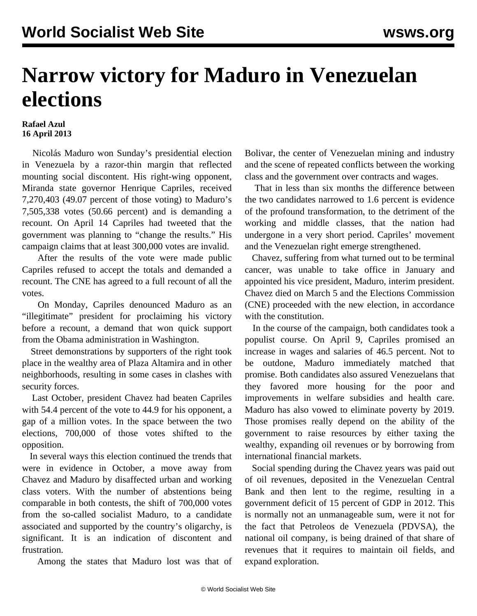## **Narrow victory for Maduro in Venezuelan elections**

## **Rafael Azul 16 April 2013**

 Nicolás Maduro won Sunday's presidential election in Venezuela by a razor-thin margin that reflected mounting social discontent. His right-wing opponent, Miranda state governor Henrique Capriles, received 7,270,403 (49.07 percent of those voting) to Maduro's 7,505,338 votes (50.66 percent) and is demanding a recount. On April 14 Capriles had tweeted that the government was planning to "change the results." His campaign claims that at least 300,000 votes are invalid.

 After the results of the vote were made public Capriles refused to accept the totals and demanded a recount. The CNE has agreed to a full recount of all the votes.

 On Monday, Capriles denounced Maduro as an "illegitimate" president for proclaiming his victory before a recount, a demand that won quick support from the Obama administration in Washington.

 Street demonstrations by supporters of the right took place in the wealthy area of Plaza Altamira and in other neighborhoods, resulting in some cases in clashes with security forces.

 Last October, president Chavez had beaten Capriles with 54.4 percent of the vote to 44.9 for his opponent, a gap of a million votes. In the space between the two elections, 700,000 of those votes shifted to the opposition.

 In several ways this election continued the trends that were in evidence in October, a move away from Chavez and Maduro by disaffected urban and working class voters. With the number of abstentions being comparable in both contests, the shift of 700,000 votes from the so-called socialist Maduro, to a candidate associated and supported by the country's oligarchy, is significant. It is an indication of discontent and frustration.

Among the states that Maduro lost was that of

Bolivar, the center of Venezuelan mining and industry and the scene of repeated conflicts between the working class and the government over contracts and wages.

 That in less than six months the difference between the two candidates narrowed to 1.6 percent is evidence of the profound transformation, to the detriment of the working and middle classes, that the nation had undergone in a very short period. Capriles' movement and the Venezuelan right emerge strengthened.

 Chavez, suffering from what turned out to be terminal cancer, was unable to take office in January and appointed his vice president, Maduro, interim president. Chavez died on March 5 and the Elections Commission (CNE) proceeded with the new election, in accordance with the constitution.

 In the course of the campaign, both candidates took a populist course. On April 9, Capriles promised an increase in wages and salaries of 46.5 percent. Not to be outdone, Maduro immediately matched that promise. Both candidates also assured Venezuelans that they favored more housing for the poor and improvements in welfare subsidies and health care. Maduro has also vowed to eliminate poverty by 2019. Those promises really depend on the ability of the government to raise resources by either taxing the wealthy, expanding oil revenues or by borrowing from international financial markets.

 Social spending during the Chavez years was paid out of oil revenues, deposited in the Venezuelan Central Bank and then lent to the regime, resulting in a government deficit of 15 percent of GDP in 2012. This is normally not an unmanageable sum, were it not for the fact that Petroleos de Venezuela (PDVSA), the national oil company, is being drained of that share of revenues that it requires to maintain oil fields, and expand exploration.